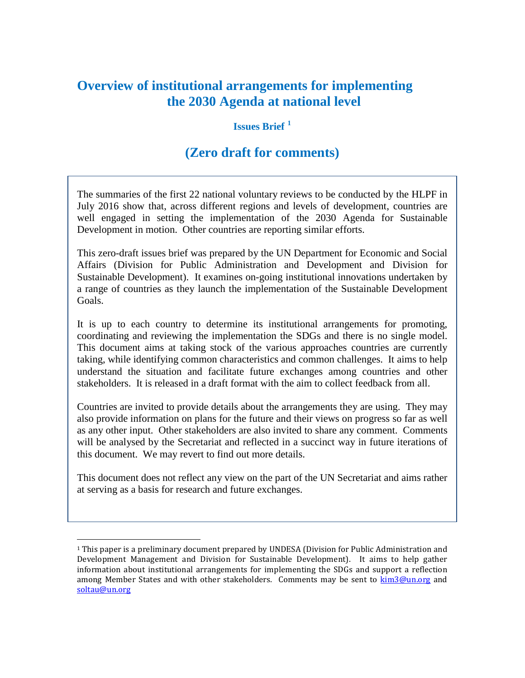# **Overview of institutional arrangements for implementing the 2030 Agenda at national level**

#### **Issues Brief [1](#page-0-0)**

## **(Zero draft for comments)**

The summaries of the first 22 national voluntary reviews to be conducted by the HLPF in July 2016 show that, across different regions and levels of development, countries are well engaged in setting the implementation of the 2030 Agenda for Sustainable Development in motion. Other countries are reporting similar efforts.

This zero-draft issues brief was prepared by the UN Department for Economic and Social Affairs (Division for Public Administration and Development and Division for Sustainable Development). It examines on-going institutional innovations undertaken by a range of countries as they launch the implementation of the Sustainable Development Goals.

It is up to each country to determine its institutional arrangements for promoting, coordinating and reviewing the implementation the SDGs and there is no single model. This document aims at taking stock of the various approaches countries are currently taking, while identifying common characteristics and common challenges. It aims to help understand the situation and facilitate future exchanges among countries and other stakeholders. It is released in a draft format with the aim to collect feedback from all.

Countries are invited to provide details about the arrangements they are using. They may also provide information on plans for the future and their views on progress so far as well as any other input. Other stakeholders are also invited to share any comment. Comments will be analysed by the Secretariat and reflected in a succinct way in future iterations of this document. We may revert to find out more details.

This document does not reflect any view on the part of the UN Secretariat and aims rather at serving as a basis for research and future exchanges.

<span id="page-0-0"></span> <sup>1</sup> This paper is a preliminary document prepared by UNDESA (Division for Public Administration and Development Management and Division for Sustainable Development). It aims to help gather information about institutional arrangements for implementing the SDGs and support a reflection among Member States and with other stakeholders. Comments may be sent to [kim3@un.org](mailto:kim3@un.org) and [soltau@un.org](mailto:soltau@un.org)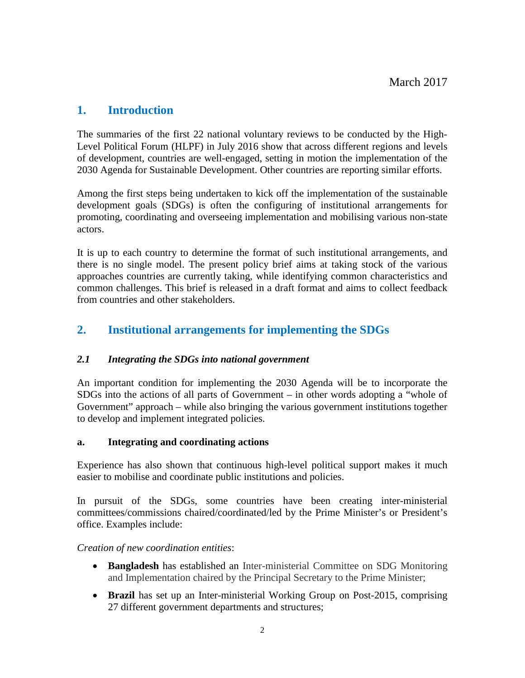## **1. Introduction**

The summaries of the first 22 national voluntary reviews to be conducted by the High-Level Political Forum (HLPF) in July 2016 show that across different regions and levels of development, countries are well-engaged, setting in motion the implementation of the 2030 Agenda for Sustainable Development. Other countries are reporting similar efforts.

Among the first steps being undertaken to kick off the implementation of the sustainable development goals (SDGs) is often the configuring of institutional arrangements for promoting, coordinating and overseeing implementation and mobilising various non-state actors.

It is up to each country to determine the format of such institutional arrangements, and there is no single model. The present policy brief aims at taking stock of the various approaches countries are currently taking, while identifying common characteristics and common challenges. This brief is released in a draft format and aims to collect feedback from countries and other stakeholders.

## **2. Institutional arrangements for implementing the SDGs**

#### *2.1 Integrating the SDGs into national government*

An important condition for implementing the 2030 Agenda will be to incorporate the SDGs into the actions of all parts of Government – in other words adopting a "whole of Government" approach – while also bringing the various government institutions together to develop and implement integrated policies.

#### **a. Integrating and coordinating actions**

Experience has also shown that continuous high-level political support makes it much easier to mobilise and coordinate public institutions and policies.

In pursuit of the SDGs, some countries have been creating inter-ministerial committees/commissions chaired/coordinated/led by the Prime Minister's or President's office. Examples include:

#### *Creation of new coordination entities*:

- **Bangladesh** has established an Inter-ministerial Committee on SDG Monitoring and Implementation chaired by the Principal Secretary to the Prime Minister;
- **Brazil** has set up an Inter-ministerial Working Group on Post-2015, comprising 27 different government departments and structures;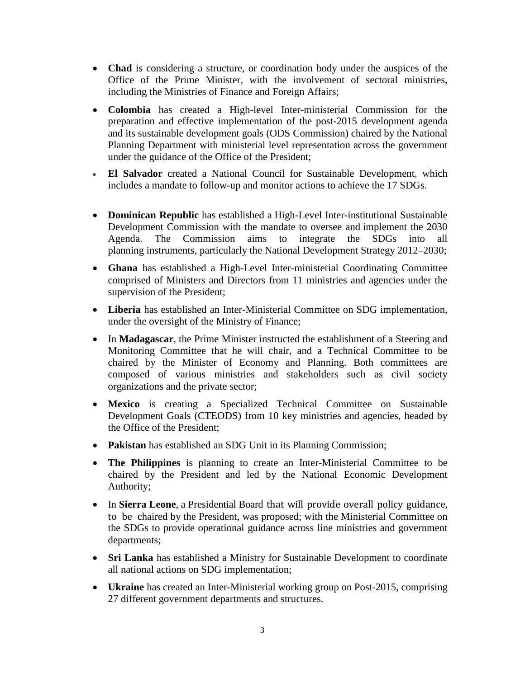- **Chad** is considering a structure, or coordination body under the auspices of the Office of the Prime Minister, with the involvement of sectoral ministries, including the Ministries of Finance and Foreign Affairs;
- **Colombia** has created a High-level Inter-ministerial Commission for the preparation and effective implementation of the post-2015 development agenda and its sustainable development goals (ODS Commission) chaired by the National Planning Department with ministerial level representation across the government under the guidance of the Office of the President;
- **El Salvador** created a National Council for Sustainable Development, which includes a mandate to follow-up and monitor actions to achieve the 17 SDGs.
- **Dominican Republic** has established a High-Level Inter-institutional Sustainable Development Commission with the mandate to oversee and implement the 2030 Agenda. The Commission aims to integrate the SDGs into all planning instruments, particularly the National Development Strategy 2012–2030;
- **Ghana** has established a High-Level Inter-ministerial Coordinating Committee comprised of Ministers and Directors from 11 ministries and agencies under the supervision of the President;
- **Liberia** has established an Inter-Ministerial Committee on SDG implementation, under the oversight of the Ministry of Finance;
- In **Madagascar**, the Prime Minister instructed the establishment of a Steering and Monitoring Committee that he will chair, and a Technical Committee to be chaired by the Minister of Economy and Planning. Both committees are composed of various ministries and stakeholders such as civil society organizations and the private sector;
- **Mexico** is creating a Specialized Technical Committee on Sustainable Development Goals (CTEODS) from 10 key ministries and agencies, headed by the Office of the President;
- **Pakistan** has established an SDG Unit in its Planning Commission;
- **The Philippines** is planning to create an Inter-Ministerial Committee to be chaired by the President and led by the National Economic Development Authority;
- In **Sierra Leone**, a Presidential Board that will provide overall policy guidance, to be chaired by the President, was proposed; with the Ministerial Committee on the SDGs to provide operational guidance across line ministries and government departments;
- **Sri Lanka** has established a Ministry for Sustainable Development to coordinate all national actions on SDG implementation;
- **Ukraine** has created an Inter-Ministerial working group on Post-2015, comprising 27 different government departments and structures.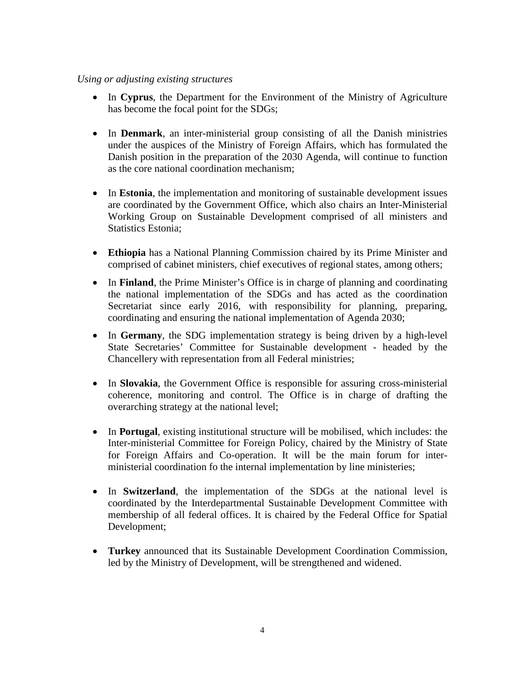#### *Using or adjusting existing structures*

- In **Cyprus**, the Department for the Environment of the Ministry of Agriculture has become the focal point for the SDGs;
- In **Denmark**, an inter-ministerial group consisting of all the Danish ministries under the auspices of the Ministry of Foreign Affairs, which has formulated the Danish position in the preparation of the 2030 Agenda, will continue to function as the core national coordination mechanism;
- In **Estonia**, the implementation and monitoring of sustainable development issues are coordinated by the Government Office, which also chairs an Inter-Ministerial Working Group on Sustainable Development comprised of all ministers and Statistics Estonia;
- **Ethiopia** has a National Planning Commission chaired by its Prime Minister and comprised of cabinet ministers, chief executives of regional states, among others;
- In **Finland**, the Prime Minister's Office is in charge of planning and coordinating the national implementation of the SDGs and has acted as the coordination Secretariat since early 2016, with responsibility for planning, preparing, coordinating and ensuring the national implementation of Agenda 2030;
- In **Germany**, the SDG implementation strategy is being driven by a high-level State Secretaries' Committee for Sustainable development - headed by the Chancellery with representation from all Federal ministries;
- In **Slovakia**, the Government Office is responsible for assuring cross-ministerial coherence, monitoring and control. The Office is in charge of drafting the overarching strategy at the national level;
- In **Portugal**, existing institutional structure will be mobilised, which includes: the Inter-ministerial Committee for Foreign Policy, chaired by the Ministry of State for Foreign Affairs and Co-operation. It will be the main forum for interministerial coordination fo the internal implementation by line ministeries;
- In **Switzerland**, the implementation of the SDGs at the national level is coordinated by the Interdepartmental Sustainable Development Committee with membership of all federal offices. It is chaired by the Federal Office for Spatial Development;
- **Turkey** announced that its Sustainable Development Coordination Commission, led by the Ministry of Development, will be strengthened and widened.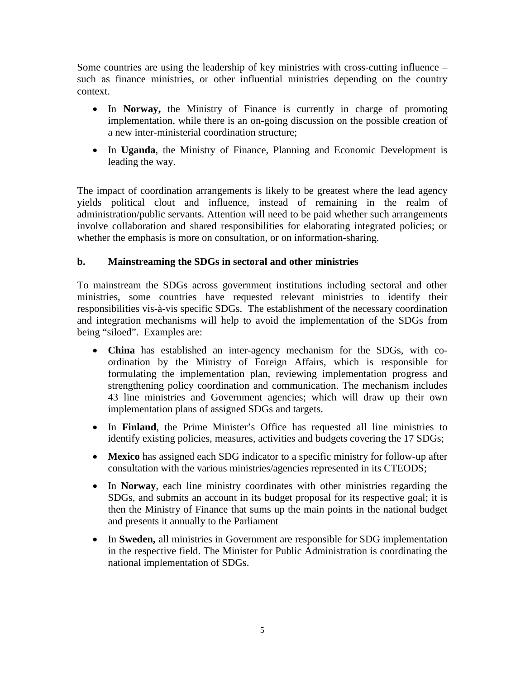Some countries are using the leadership of key ministries with cross-cutting influence – such as finance ministries, or other influential ministries depending on the country context.

- In **Norway,** the Ministry of Finance is currently in charge of promoting implementation, while there is an on-going discussion on the possible creation of a new inter-ministerial coordination structure;
- In **Uganda**, the Ministry of Finance, Planning and Economic Development is leading the way.

The impact of coordination arrangements is likely to be greatest where the lead agency yields political clout and influence, instead of remaining in the realm of administration/public servants. Attention will need to be paid whether such arrangements involve collaboration and shared responsibilities for elaborating integrated policies; or whether the emphasis is more on consultation, or on information-sharing.

### **b. Mainstreaming the SDGs in sectoral and other ministries**

To mainstream the SDGs across government institutions including sectoral and other ministries, some countries have requested relevant ministries to identify their responsibilities vis-à-vis specific SDGs. The establishment of the necessary coordination and integration mechanisms will help to avoid the implementation of the SDGs from being "siloed". Examples are:

- **China** has established an inter-agency mechanism for the SDGs, with coordination by the Ministry of Foreign Affairs, which is responsible for formulating the implementation plan, reviewing implementation progress and strengthening policy coordination and communication. The mechanism includes 43 line ministries and Government agencies; which will draw up their own implementation plans of assigned SDGs and targets.
- In **Finland**, the Prime Minister's Office has requested all line ministries to identify existing policies, measures, activities and budgets covering the 17 SDGs;
- **Mexico** has assigned each SDG indicator to a specific ministry for follow-up after consultation with the various ministries/agencies represented in its CTEODS;
- In **Norway**, each line ministry coordinates with other ministries regarding the SDGs, and submits an account in its budget proposal for its respective goal; it is then the Ministry of Finance that sums up the main points in the national budget and presents it annually to the Parliament
- In **Sweden,** all ministries in Government are responsible for SDG implementation in the respective field. The Minister for Public Administration is coordinating the national implementation of SDGs.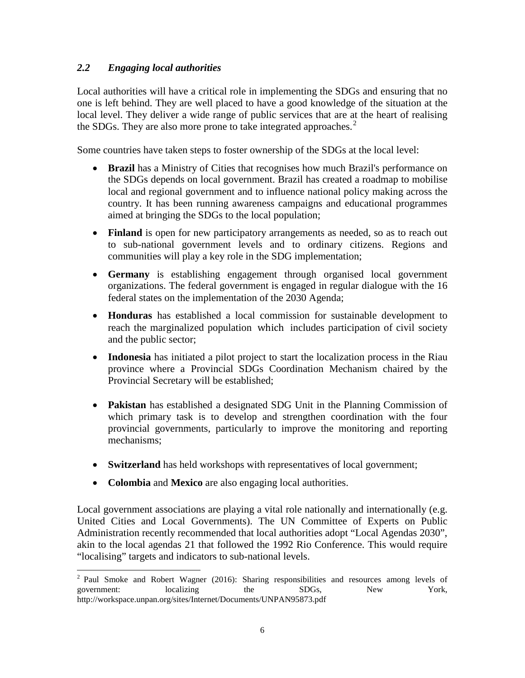#### *2.2 Engaging local authorities*

Local authorities will have a critical role in implementing the SDGs and ensuring that no one is left behind. They are well placed to have a good knowledge of the situation at the local level. They deliver a wide range of public services that are at the heart of realising the SDGs. They are also more prone to take integrated approaches.<sup>[2](#page-5-0)</sup>

Some countries have taken steps to foster ownership of the SDGs at the local level:

- **Brazil** has a Ministry of Cities that recognises how much Brazil's performance on the SDGs depends on local government. Brazil has created a roadmap to mobilise local and regional government and to influence national policy making across the country. It has been running awareness campaigns and educational programmes aimed at bringing the SDGs to the local population;
- **Finland** is open for new participatory arrangements as needed, so as to reach out to sub-national government levels and to ordinary citizens. Regions and communities will play a key role in the SDG implementation;
- **Germany** is establishing engagement through organised local government organizations. The federal government is engaged in regular dialogue with the 16 federal states on the implementation of the 2030 Agenda;
- **Honduras** has established a local commission for sustainable development to reach the marginalized population which includes participation of civil society and the public sector;
- **Indonesia** has initiated a pilot project to start the localization process in the Riau province where a Provincial SDGs Coordination Mechanism chaired by the Provincial Secretary will be established;
- **Pakistan** has established a designated SDG Unit in the Planning Commission of which primary task is to develop and strengthen coordination with the four provincial governments, particularly to improve the monitoring and reporting mechanisms;
- **Switzerland** has held workshops with representatives of local government;
- **Colombia** and **Mexico** are also engaging local authorities.

Local government associations are playing a vital role nationally and internationally (e.g. United Cities and Local Governments). The UN Committee of Experts on Public Administration recently recommended that local authorities adopt "Local Agendas 2030", akin to the local agendas 21 that followed the 1992 Rio Conference. This would require "localising" targets and indicators to sub-national levels.

<span id="page-5-0"></span><sup>2</sup> Paul Smoke and Robert Wagner (2016): Sharing responsibilities and resources among levels of government: localizing the SDGs, New York, http://workspace.unpan.org/sites/Internet/Documents/UNPAN95873.pdf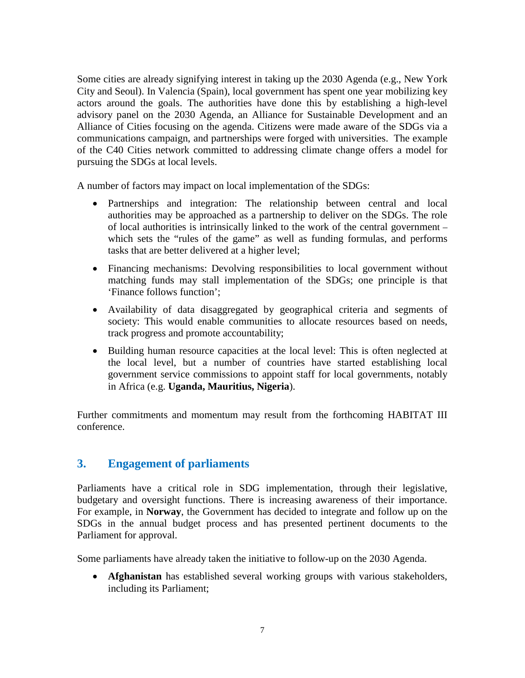Some cities are already signifying interest in taking up the 2030 Agenda (e.g., New York City and Seoul). In Valencia (Spain), local government has spent one year mobilizing key actors around the goals. The authorities have done this by establishing a high-level advisory panel on the 2030 Agenda, an Alliance for Sustainable Development and an Alliance of Cities focusing on the agenda. Citizens were made aware of the SDGs via a communications campaign, and partnerships were forged with universities. The example of the C40 Cities network committed to addressing climate change offers a model for pursuing the SDGs at local levels.

A number of factors may impact on local implementation of the SDGs:

- Partnerships and integration: The relationship between central and local authorities may be approached as a partnership to deliver on the SDGs. The role of local authorities is intrinsically linked to the work of the central government – which sets the "rules of the game" as well as funding formulas, and performs tasks that are better delivered at a higher level;
- Financing mechanisms: Devolving responsibilities to local government without matching funds may stall implementation of the SDGs; one principle is that 'Finance follows function';
- Availability of data disaggregated by geographical criteria and segments of society: This would enable communities to allocate resources based on needs, track progress and promote accountability;
- Building human resource capacities at the local level: This is often neglected at the local level, but a number of countries have started establishing local government service commissions to appoint staff for local governments, notably in Africa (e.g. **Uganda, Mauritius, Nigeria**).

Further commitments and momentum may result from the forthcoming HABITAT III conference.

### **3. Engagement of parliaments**

Parliaments have a critical role in SDG implementation, through their legislative, budgetary and oversight functions. There is increasing awareness of their importance. For example, in **Norway**, the Government has decided to integrate and follow up on the SDGs in the annual budget process and has presented pertinent documents to the Parliament for approval.

Some parliaments have already taken the initiative to follow-up on the 2030 Agenda.

• **Afghanistan** has established several working groups with various stakeholders, including its Parliament;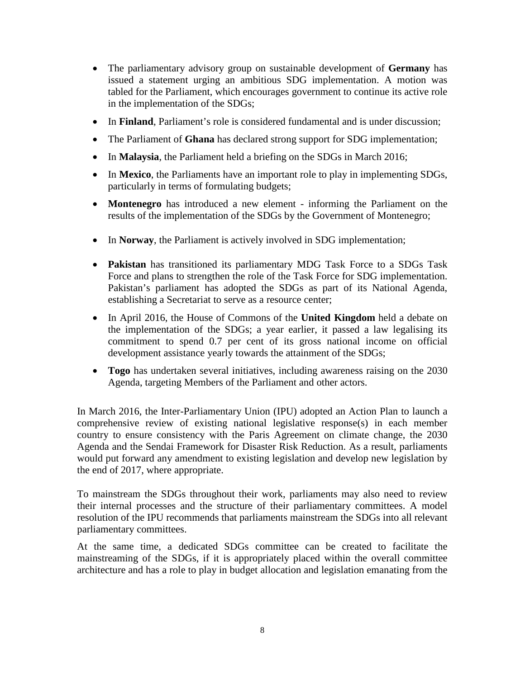- The parliamentary advisory group on sustainable development of **Germany** has issued a statement urging an ambitious SDG implementation. A motion was tabled for the Parliament, which encourages government to continue its active role in the implementation of the SDGs;
- In **Finland**, Parliament's role is considered fundamental and is under discussion;
- The Parliament of **Ghana** has declared strong support for SDG implementation;
- In **Malaysia**, the Parliament held a briefing on the SDGs in March 2016;
- In **Mexico**, the Parliaments have an important role to play in implementing SDGs, particularly in terms of formulating budgets;
- **Montenegro** has introduced a new element informing the Parliament on the results of the implementation of the SDGs by the Government of Montenegro;
- In **Norway**, the Parliament is actively involved in SDG implementation;
- **Pakistan** has transitioned its parliamentary MDG Task Force to a SDGs Task Force and plans to strengthen the role of the Task Force for SDG implementation. Pakistan's parliament has adopted the SDGs as part of its National Agenda, establishing a Secretariat to serve as a resource center;
- In April 2016, the House of Commons of the **United Kingdom** held a debate on the implementation of the SDGs; a year earlier, it passed a law legalising its commitment to spend 0.7 per cent of its gross national income on official development assistance yearly towards the attainment of the SDGs;
- **Togo** has undertaken several initiatives, including awareness raising on the 2030 Agenda, targeting Members of the Parliament and other actors.

In March 2016, the Inter-Parliamentary Union (IPU) adopted an Action Plan to launch a comprehensive review of existing national legislative response(s) in each member country to ensure consistency with the Paris Agreement on climate change, the 2030 Agenda and the Sendai Framework for Disaster Risk Reduction. As a result, parliaments would put forward any amendment to existing legislation and develop new legislation by the end of 2017, where appropriate.

To mainstream the SDGs throughout their work, parliaments may also need to review their internal processes and the structure of their parliamentary committees. A model resolution of the IPU recommends that parliaments mainstream the SDGs into all relevant parliamentary committees.

At the same time, a dedicated SDGs committee can be created to facilitate the mainstreaming of the SDGs, if it is appropriately placed within the overall committee architecture and has a role to play in budget allocation and legislation emanating from the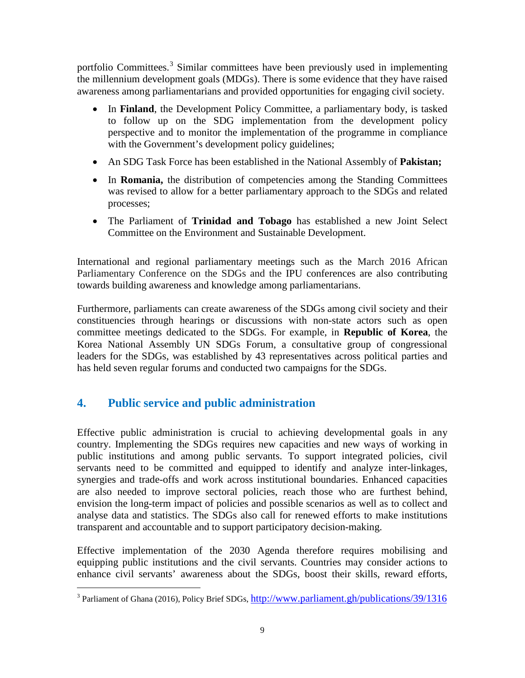portfolio Committees.<sup>[3](#page-8-0)</sup> Similar committees have been previously used in implementing the millennium development goals (MDGs). There is some evidence that they have raised awareness among parliamentarians and provided opportunities for engaging civil society.

- In **Finland**, the Development Policy Committee, a parliamentary body, is tasked to follow up on the SDG implementation from the development policy perspective and to monitor the implementation of the programme in compliance with the Government's development policy guidelines;
- An SDG Task Force has been established in the National Assembly of **Pakistan;**
- In **Romania,** the distribution of competencies among the Standing Committees was revised to allow for a better parliamentary approach to the SDGs and related processes;
- The Parliament of **Trinidad and Tobago** has established a new Joint Select Committee on the Environment and Sustainable Development.

International and regional parliamentary meetings such as the March 2016 African Parliamentary Conference on the SDGs and the IPU conferences are also contributing towards building awareness and knowledge among parliamentarians.

Furthermore, parliaments can create awareness of the SDGs among civil society and their constituencies through hearings or discussions with non-state actors such as open committee meetings dedicated to the SDGs. For example, in **Republic of Korea**, the Korea National Assembly UN SDGs Forum, a consultative group of congressional leaders for the SDGs, was established by 43 representatives across political parties and has held seven regular forums and conducted two campaigns for the SDGs.

## **4. Public service and public administration**

Effective public administration is crucial to achieving developmental goals in any country. Implementing the SDGs requires new capacities and new ways of working in public institutions and among public servants. To support integrated policies, civil servants need to be committed and equipped to identify and analyze inter-linkages, synergies and trade-offs and work across institutional boundaries. Enhanced capacities are also needed to improve sectoral policies, reach those who are furthest behind, envision the long-term impact of policies and possible scenarios as well as to collect and analyse data and statistics. The SDGs also call for renewed efforts to make institutions transparent and accountable and to support participatory decision-making.

Effective implementation of the 2030 Agenda therefore requires mobilising and equipping public institutions and the civil servants. Countries may consider actions to enhance civil servants' awareness about the SDGs, boost their skills, reward efforts,

<span id="page-8-0"></span><sup>&</sup>lt;sup>3</sup> Parliament of Ghana (2016), Policy Brief SDGs,  $\frac{http://www.parliament.gh/publications/39/1316}$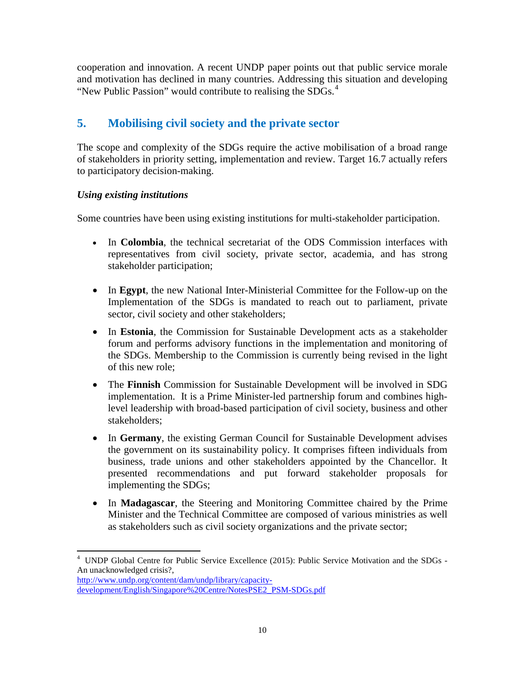cooperation and innovation. A recent UNDP paper points out that public service morale and motivation has declined in many countries. Addressing this situation and developing "New Public Passion" would contribute to realising the SDGs.<sup>[4](#page-9-0)</sup>

## **5. Mobilising civil society and the private sector**

The scope and complexity of the SDGs require the active mobilisation of a broad range of stakeholders in priority setting, implementation and review. Target 16.7 actually refers to participatory decision-making.

#### *Using existing institutions*

Some countries have been using existing institutions for multi-stakeholder participation.

- In **Colombia**, the technical secretariat of the ODS Commission interfaces with representatives from civil society, private sector, academia, and has strong stakeholder participation;
- In **Egypt**, the new National Inter-Ministerial Committee for the Follow-up on the Implementation of the SDGs is mandated to reach out to parliament, private sector, civil society and other stakeholders;
- In **Estonia**, the Commission for Sustainable Development acts as a stakeholder forum and performs advisory functions in the implementation and monitoring of the SDGs. Membership to the Commission is currently being revised in the light of this new role;
- The **Finnish** Commission for Sustainable Development will be involved in SDG implementation. It is a Prime Minister-led partnership forum and combines highlevel leadership with broad-based participation of civil society, business and other stakeholders;
- In **Germany**, the existing German Council for Sustainable Development advises the government on its sustainability policy. It comprises fifteen individuals from business, trade unions and other stakeholders appointed by the Chancellor. It presented recommendations and put forward stakeholder proposals for implementing the SDGs;
- In **Madagascar**, the Steering and Monitoring Committee chaired by the Prime Minister and the Technical Committee are composed of various ministries as well as stakeholders such as civil society organizations and the private sector;

[http://www.undp.org/content/dam/undp/library/capacity](http://www.undp.org/content/dam/undp/library/capacity-development/English/Singapore%20Centre/NotesPSE2_PSM-SDGs.pdf)[development/English/Singapore%20Centre/NotesPSE2\\_PSM-SDGs.pdf](http://www.undp.org/content/dam/undp/library/capacity-development/English/Singapore%20Centre/NotesPSE2_PSM-SDGs.pdf)

<span id="page-9-0"></span>4 UNDP Global Centre for Public Service Excellence (2015): Public Service Motivation and the SDGs - An unacknowledged crisis?,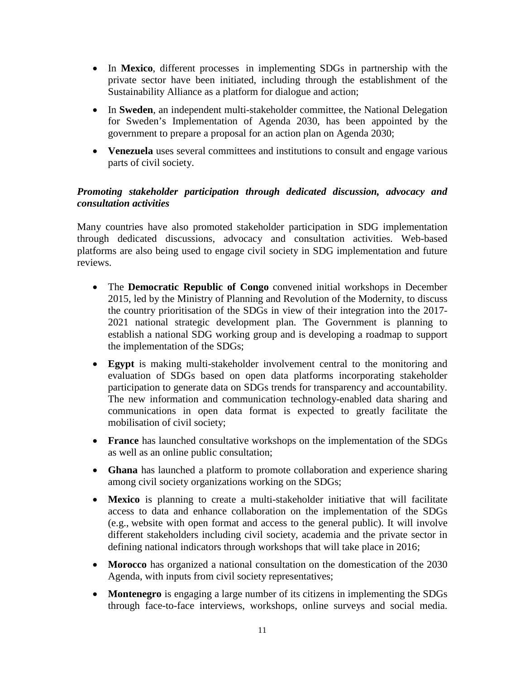- In **Mexico**, different processes in implementing SDGs in partnership with the private sector have been initiated, including through the establishment of the Sustainability Alliance as a platform for dialogue and action;
- In **Sweden**, an independent multi-stakeholder committee, the National Delegation for Sweden's Implementation of Agenda 2030, has been appointed by the government to prepare a proposal for an action plan on Agenda 2030;
- **Venezuela** uses several committees and institutions to consult and engage various parts of civil society.

#### *Promoting stakeholder participation through dedicated discussion, advocacy and consultation activities*

Many countries have also promoted stakeholder participation in SDG implementation through dedicated discussions, advocacy and consultation activities. Web-based platforms are also being used to engage civil society in SDG implementation and future reviews.

- The **Democratic Republic of Congo** convened initial workshops in December 2015, led by the Ministry of Planning and Revolution of the Modernity, to discuss the country prioritisation of the SDGs in view of their integration into the 2017- 2021 national strategic development plan. The Government is planning to establish a national SDG working group and is developing a roadmap to support the implementation of the SDGs;
- **Egypt** is making multi-stakeholder involvement central to the monitoring and evaluation of SDGs based on open data platforms incorporating stakeholder participation to generate data on SDGs trends for transparency and accountability. The new information and communication technology-enabled data sharing and communications in open data format is expected to greatly facilitate the mobilisation of civil society;
- **France** has launched consultative workshops on the implementation of the SDGs as well as an online public consultation;
- **Ghana** has launched a platform to promote collaboration and experience sharing among civil society organizations working on the SDGs;
- **Mexico** is planning to create a multi-stakeholder initiative that will facilitate access to data and enhance collaboration on the implementation of the SDGs (e.g., website with open format and access to the general public). It will involve different stakeholders including civil society, academia and the private sector in defining national indicators through workshops that will take place in 2016;
- **Morocco** has organized a national consultation on the domestication of the 2030 Agenda, with inputs from civil society representatives;
- **Montenegro** is engaging a large number of its citizens in implementing the SDGs through face-to-face interviews, workshops, online surveys and social media.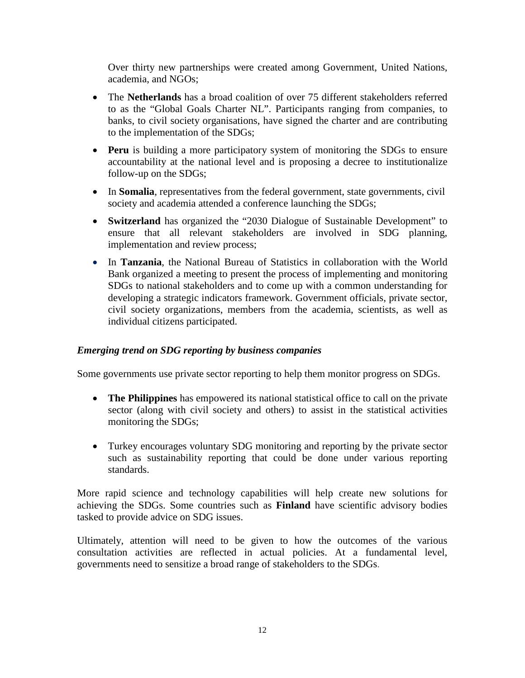Over thirty new partnerships were created among Government, United Nations, academia, and NGOs;

- The **Netherlands** has a broad coalition of over 75 different stakeholders referred to as the "Global Goals Charter NL". Participants ranging from companies, to banks, to civil society organisations, have signed the charter and are contributing to the implementation of the SDGs;
- **Peru** is building a more participatory system of monitoring the SDGs to ensure accountability at the national level and is proposing a decree to institutionalize follow-up on the SDGs;
- In **Somalia**, representatives from the federal government, state governments, civil society and academia attended a conference launching the SDGs;
- **Switzerland** has organized the "2030 Dialogue of Sustainable Development" to ensure that all relevant stakeholders are involved in SDG planning, implementation and review process;
- In **Tanzania**, the National Bureau of Statistics in collaboration with the World Bank organized a meeting to present the process of implementing and monitoring SDGs to national stakeholders and to come up with a common understanding for developing a strategic indicators framework. Government officials, private sector, civil society organizations, members from the academia, scientists, as well as individual citizens participated.

#### *Emerging trend on SDG reporting by business companies*

Some governments use private sector reporting to help them monitor progress on SDGs.

- **The Philippines** has empowered its national statistical office to call on the private sector (along with civil society and others) to assist in the statistical activities monitoring the SDGs;
- Turkey encourages voluntary SDG monitoring and reporting by the private sector such as sustainability reporting that could be done under various reporting standards.

More rapid science and technology capabilities will help create new solutions for achieving the SDGs. Some countries such as **Finland** have scientific advisory bodies tasked to provide advice on SDG issues.

Ultimately, attention will need to be given to how the outcomes of the various consultation activities are reflected in actual policies. At a fundamental level, governments need to sensitize a broad range of stakeholders to the SDGs.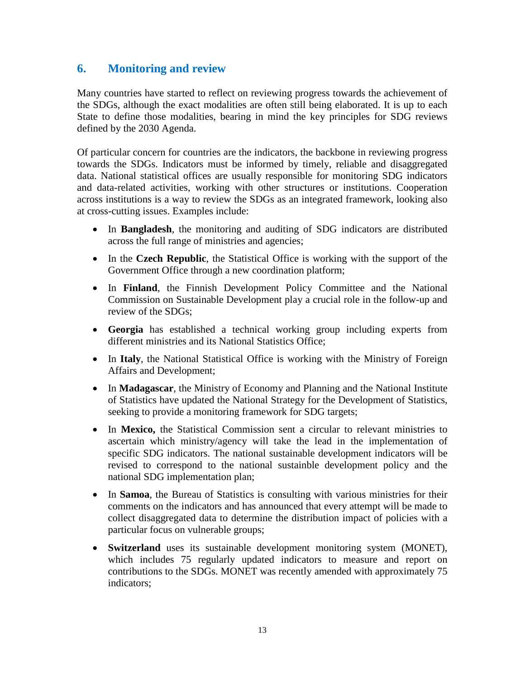## **6. Monitoring and review**

Many countries have started to reflect on reviewing progress towards the achievement of the SDGs, although the exact modalities are often still being elaborated. It is up to each State to define those modalities, bearing in mind the key principles for SDG reviews defined by the 2030 Agenda.

Of particular concern for countries are the indicators, the backbone in reviewing progress towards the SDGs. Indicators must be informed by timely, reliable and disaggregated data. National statistical offices are usually responsible for monitoring SDG indicators and data-related activities, working with other structures or institutions. Cooperation across institutions is a way to review the SDGs as an integrated framework, looking also at cross-cutting issues. Examples include:

- In **Bangladesh**, the monitoring and auditing of SDG indicators are distributed across the full range of ministries and agencies;
- In the **Czech Republic**, the Statistical Office is working with the support of the Government Office through a new coordination platform;
- In **Finland**, the Finnish Development Policy Committee and the National Commission on Sustainable Development play a crucial role in the follow-up and review of the SDGs;
- **Georgia** has established a technical working group including experts from different ministries and its National Statistics Office;
- In **Italy**, the National Statistical Office is working with the Ministry of Foreign Affairs and Development;
- In **Madagascar**, the Ministry of Economy and Planning and the National Institute of Statistics have updated the National Strategy for the Development of Statistics, seeking to provide a monitoring framework for SDG targets;
- In **Mexico,** the Statistical Commission sent a circular to relevant ministries to ascertain which ministry/agency will take the lead in the implementation of specific SDG indicators. The national sustainable development indicators will be revised to correspond to the national sustainble development policy and the national SDG implementation plan;
- In **Samoa**, the Bureau of Statistics is consulting with various ministries for their comments on the indicators and has announced that every attempt will be made to collect disaggregated data to determine the distribution impact of policies with a particular focus on vulnerable groups;
- **Switzerland** uses its sustainable development monitoring system (MONET), which includes 75 regularly updated indicators to measure and report on contributions to the SDGs. MONET was recently amended with approximately 75 indicators;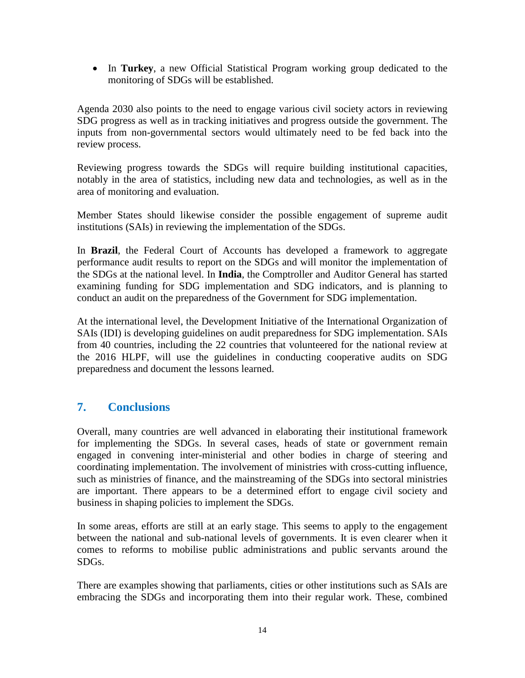• In **Turkey**, a new Official Statistical Program working group dedicated to the monitoring of SDGs will be established.

Agenda 2030 also points to the need to engage various civil society actors in reviewing SDG progress as well as in tracking initiatives and progress outside the government. The inputs from non-governmental sectors would ultimately need to be fed back into the review process.

Reviewing progress towards the SDGs will require building institutional capacities, notably in the area of statistics, including new data and technologies, as well as in the area of monitoring and evaluation.

Member States should likewise consider the possible engagement of supreme audit institutions (SAIs) in reviewing the implementation of the SDGs.

In **Brazil**, the Federal Court of Accounts has developed a framework to aggregate performance audit results to report on the SDGs and will monitor the implementation of the SDGs at the national level. In **India**, the Comptroller and Auditor General has started examining funding for SDG implementation and SDG indicators, and is planning to conduct an audit on the preparedness of the Government for SDG implementation.

At the international level, the Development Initiative of the International Organization of SAIs (IDI) is developing guidelines on audit preparedness for SDG implementation. SAIs from 40 countries, including the 22 countries that volunteered for the national review at the 2016 HLPF, will use the guidelines in conducting cooperative audits on SDG preparedness and document the lessons learned.

## **7. Conclusions**

Overall, many countries are well advanced in elaborating their institutional framework for implementing the SDGs. In several cases, heads of state or government remain engaged in convening inter-ministerial and other bodies in charge of steering and coordinating implementation. The involvement of ministries with cross-cutting influence, such as ministries of finance, and the mainstreaming of the SDGs into sectoral ministries are important. There appears to be a determined effort to engage civil society and business in shaping policies to implement the SDGs.

In some areas, efforts are still at an early stage. This seems to apply to the engagement between the national and sub-national levels of governments. It is even clearer when it comes to reforms to mobilise public administrations and public servants around the SDGs.

There are examples showing that parliaments, cities or other institutions such as SAIs are embracing the SDGs and incorporating them into their regular work. These, combined